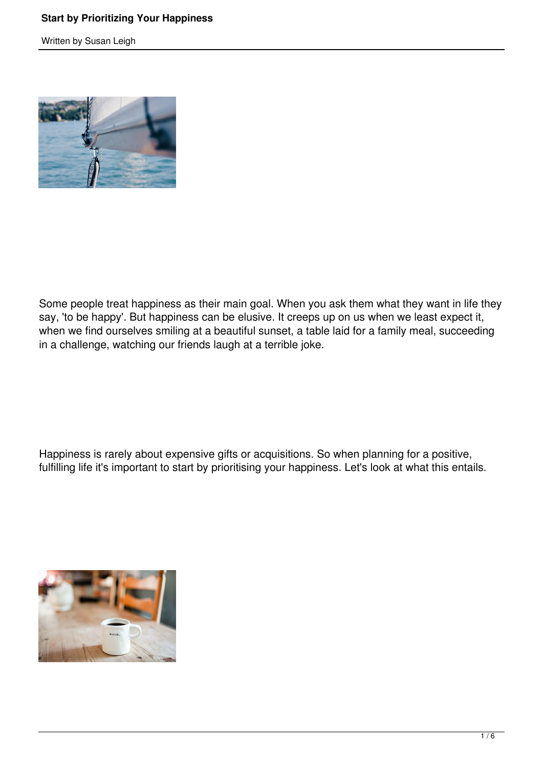## **Start by Prioritizing Your Happiness**

Written by Susan Leigh



Some people treat happiness as their main goal. When you ask them what they want in life they say, 'to be happy'. But happiness can be elusive. It creeps up on us when we least expect it, when we find ourselves smiling at a beautiful sunset, a table laid for a family meal, succeeding in a challenge, watching our friends laugh at a terrible joke.

Happiness is rarely about expensive gifts or acquisitions. So when planning for a positive, fulfilling life it's important to start by prioritising your happiness. Let's look at what this entails.

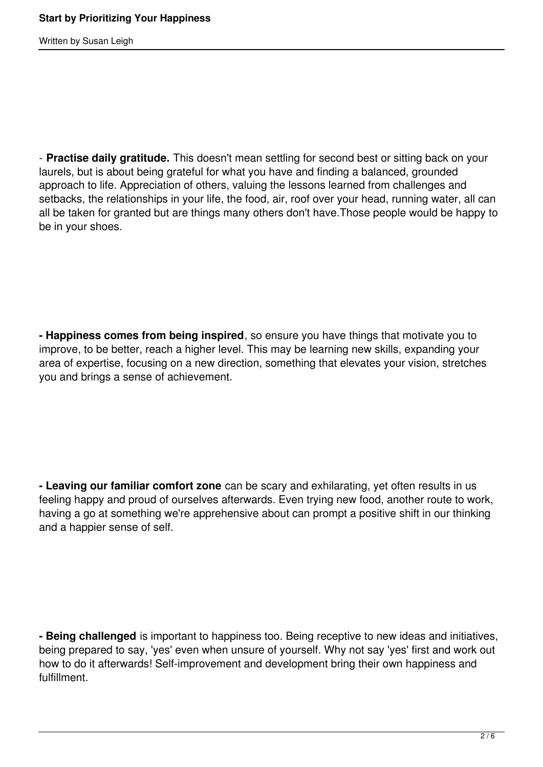Written by Susan Leigh

- **Practise daily gratitude.** This doesn't mean settling for second best or sitting back on your laurels, but is about being grateful for what you have and finding a balanced, grounded approach to life. Appreciation of others, valuing the lessons learned from challenges and setbacks, the relationships in your life, the food, air, roof over your head, running water, all can all be taken for granted but are things many others don't have.Those people would be happy to be in your shoes.

**- Happiness comes from being inspired**, so ensure you have things that motivate you to improve, to be better, reach a higher level. This may be learning new skills, expanding your area of expertise, focusing on a new direction, something that elevates your vision, stretches you and brings a sense of achievement.

**- Leaving our familiar comfort zone** can be scary and exhilarating, yet often results in us feeling happy and proud of ourselves afterwards. Even trying new food, another route to work, having a go at something we're apprehensive about can prompt a positive shift in our thinking and a happier sense of self.

**- Being challenged** is important to happiness too. Being receptive to new ideas and initiatives, being prepared to say, 'yes' even when unsure of yourself. Why not say 'yes' first and work out how to do it afterwards! Self-improvement and development bring their own happiness and fulfillment.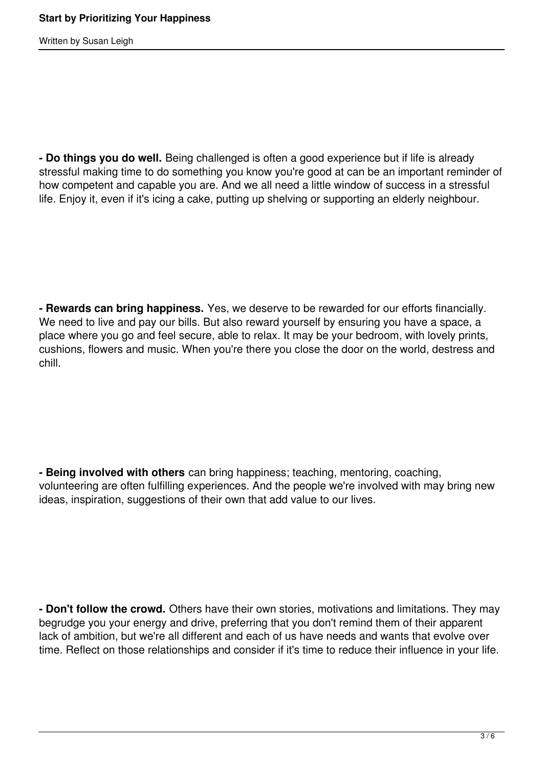Written by Susan Leigh

**- Do things you do well.** Being challenged is often a good experience but if life is already stressful making time to do something you know you're good at can be an important reminder of how competent and capable you are. And we all need a little window of success in a stressful life. Enjoy it, even if it's icing a cake, putting up shelving or supporting an elderly neighbour.

**- Rewards can bring happiness.** Yes, we deserve to be rewarded for our efforts financially. We need to live and pay our bills. But also reward yourself by ensuring you have a space, a place where you go and feel secure, able to relax. It may be your bedroom, with lovely prints, cushions, flowers and music. When you're there you close the door on the world, destress and chill.

**- Being involved with others** can bring happiness; teaching, mentoring, coaching, volunteering are often fulfilling experiences. And the people we're involved with may bring new ideas, inspiration, suggestions of their own that add value to our lives.

**- Don't follow the crowd.** Others have their own stories, motivations and limitations. They may begrudge you your energy and drive, preferring that you don't remind them of their apparent lack of ambition, but we're all different and each of us have needs and wants that evolve over time. Reflect on those relationships and consider if it's time to reduce their influence in your life.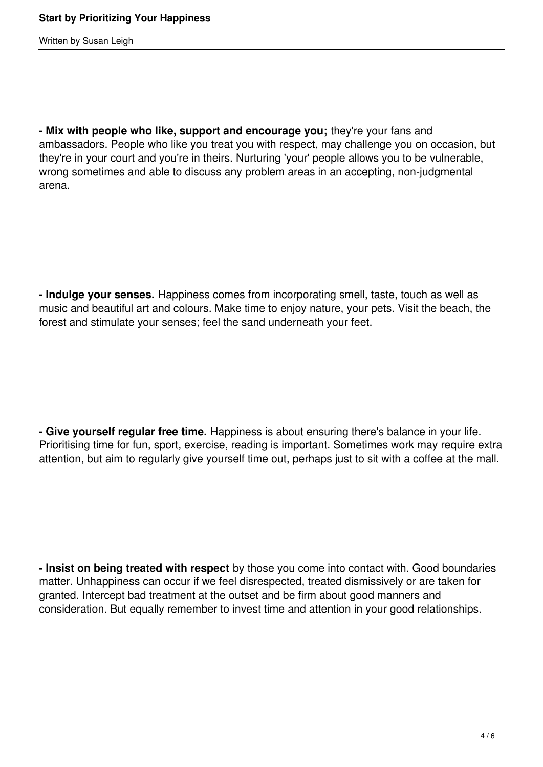Written by Susan Leigh

**- Mix with people who like, support and encourage you;** they're your fans and ambassadors. People who like you treat you with respect, may challenge you on occasion, but they're in your court and you're in theirs. Nurturing 'your' people allows you to be vulnerable, wrong sometimes and able to discuss any problem areas in an accepting, non-judgmental arena.

**- Indulge your senses.** Happiness comes from incorporating smell, taste, touch as well as music and beautiful art and colours. Make time to enjoy nature, your pets. Visit the beach, the forest and stimulate your senses; feel the sand underneath your feet.

**- Give yourself regular free time.** Happiness is about ensuring there's balance in your life. Prioritising time for fun, sport, exercise, reading is important. Sometimes work may require extra attention, but aim to regularly give yourself time out, perhaps just to sit with a coffee at the mall.

**- Insist on being treated with respect** by those you come into contact with. Good boundaries matter. Unhappiness can occur if we feel disrespected, treated dismissively or are taken for granted. Intercept bad treatment at the outset and be firm about good manners and consideration. But equally remember to invest time and attention in your good relationships.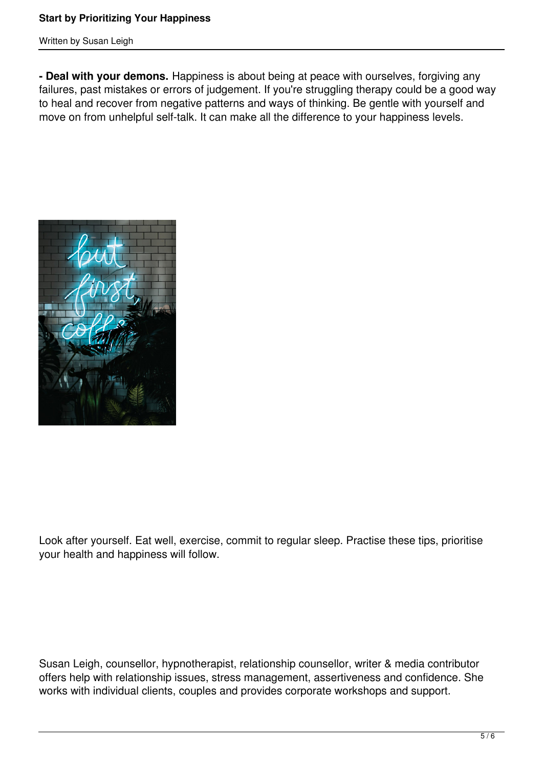## **Start by Prioritizing Your Happiness**

Written by Susan Leigh

**- Deal with your demons.** Happiness is about being at peace with ourselves, forgiving any failures, past mistakes or errors of judgement. If you're struggling therapy could be a good way to heal and recover from negative patterns and ways of thinking. Be gentle with yourself and move on from unhelpful self-talk. It can make all the difference to your happiness levels.



Look after yourself. Eat well, exercise, commit to regular sleep. Practise these tips, prioritise your health and happiness will follow.

Susan Leigh, counsellor, hypnotherapist, relationship counsellor, writer & media contributor offers help with relationship issues, stress management, assertiveness and confidence. She works with individual clients, couples and provides corporate workshops and support.